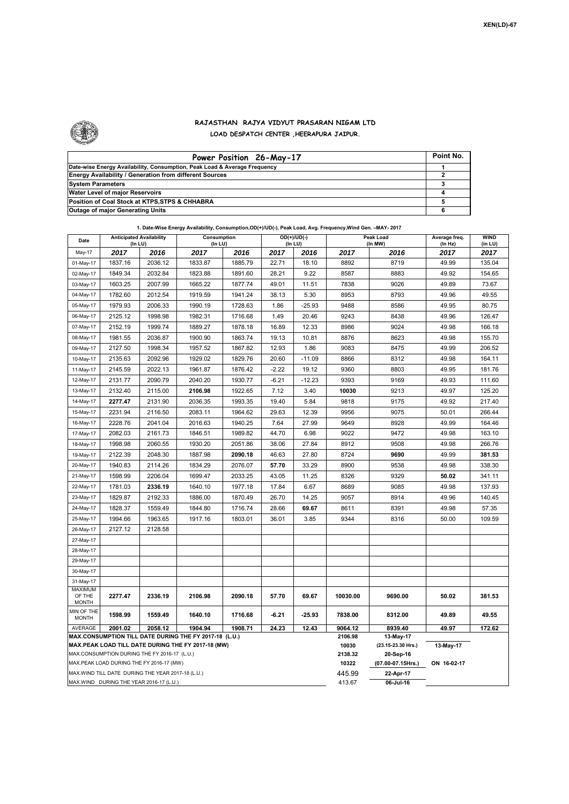

## **RAJASTHAN RAJYA VIDYUT PRASARAN NIGAM LTD LOAD DESPATCH CENTER ,HEERAPURA JAIPUR.**

| Power Position 26-May-17                                                  | Point No. |
|---------------------------------------------------------------------------|-----------|
| Date-wise Energy Availability, Consumption, Peak Load & Average Frequency |           |
| <b>Energy Availability / Generation from different Sources</b>            |           |
| <b>System Parameters</b>                                                  |           |
| Water Level of major Reservoirs                                           |           |
| Position of Coal Stock at KTPS, STPS & CHHABRA                            |           |
| <b>Outage of major Generating Units</b>                                   |           |

|  | 1. Date-Wise Energy Availability, Consumption,OD(+)/UD(-), Peak Load, Avg. Frequency, Wind Gen. -MAY- 2017 |
|--|------------------------------------------------------------------------------------------------------------|
|--|------------------------------------------------------------------------------------------------------------|

| Date                                                                                               | <b>Anticipated Availability</b><br>(In LU)        |         | Consumption<br>(In LU) |         |           | $OD(+)/UD(-)$<br>(In LU) |                  | Peak Load<br>(In MW)                         |                 | <b>WIND</b><br>(in LU) |  |  |
|----------------------------------------------------------------------------------------------------|---------------------------------------------------|---------|------------------------|---------|-----------|--------------------------|------------------|----------------------------------------------|-----------------|------------------------|--|--|
| May-17                                                                                             | 2017                                              | 2016    | 2017                   | 2016    | 2017      | 2016                     | 2017             | 2016                                         | (In Hz)<br>2017 | 2017                   |  |  |
| 01-May-17                                                                                          | 1837.16                                           | 2036.12 | 1833.87                | 1885.79 | 22.71     | 18.10                    | 8892             | 8719                                         | 49.99           | 135.04                 |  |  |
| 02-May-17                                                                                          | 1849.34                                           | 2032.84 | 1823.88                | 1891.60 | 28.21     | 9.22                     | 8587             | 8883                                         | 49.92           | 154.65                 |  |  |
| 03-May-17                                                                                          | 1603.25                                           | 2007.99 | 1665.22                | 1877.74 | 49.01     | 11.51                    | 7838             | 9026                                         | 49.89           | 73.67                  |  |  |
| 04-May-17                                                                                          | 1782.60                                           | 2012.54 | 1919.59                | 1941.24 | 38.13     | 5.30                     | 8953             | 8793                                         | 49.96           | 49.55                  |  |  |
| 05-May-17                                                                                          | 1979.93                                           | 2006.33 | 1990.19                | 1728.63 | 1.86      | $-25.93$                 | 9488             | 8586                                         | 49.95           | 80.75                  |  |  |
| 06-May-17                                                                                          | 2125.12                                           | 1998.98 | 1982.31                | 1716.68 | 1.49      | 20.46                    | 9243             | 8438                                         | 49.96           | 126.47                 |  |  |
| 07-May-17                                                                                          | 2152.19                                           | 1999.74 | 1889.27                | 1878.18 | 16.89     | 12.33                    | 8986             | 9024                                         | 49.98           | 166.18                 |  |  |
| 08-May-17                                                                                          | 1981.55                                           | 2036.87 | 1900.90                | 1863.74 | 19.13     | 10.81                    | 8876             | 8623                                         | 49.98           | 155.70                 |  |  |
| 09-May-17                                                                                          | 2127.50                                           | 1998.34 | 1957.52                | 1867.82 | 12.93     | 1.86                     | 9083             | 8475                                         | 49.99           | 206.52                 |  |  |
| 10-May-17                                                                                          | 2135.63                                           | 2092.96 | 1929.02                | 1829.76 | 20.60     | $-11.09$                 | 8866             | 8312                                         | 49.98           | 164.11                 |  |  |
| 11-May-17                                                                                          | 2145.59                                           | 2022.13 | 1961.87                | 1876.42 | $-2.22$   | 19.12                    | 9360             | 8803                                         | 49.95           | 181.76                 |  |  |
| 12-May-17                                                                                          | 2131.77                                           | 2090.79 | 2040.20                | 1930.77 | $-6.21$   | $-12.23$                 | 9393             | 9169                                         | 49.93           | 111.60                 |  |  |
| 13-May-17                                                                                          | 2132.40                                           | 2115.00 | 2106.98                | 1922.65 | 7.12      | 3.40                     | 10030            | 9213                                         | 49.97           | 125.20                 |  |  |
| 14-May-17                                                                                          | 2277.47                                           | 2131.90 | 2036.35                | 1993.35 | 19.40     | 5.84                     | 9818             | 9175                                         | 49.92           | 217.40                 |  |  |
| 15-May-17                                                                                          | 2231.94                                           | 2116.50 | 2083.11                | 1964.62 | 29.63     | 12.39                    | 9956             | 9075                                         | 50.01           | 266.44                 |  |  |
| 16-May-17                                                                                          | 2228.76                                           | 2041.04 | 2016.63                | 1940.25 | 7.64      | 27.99                    | 9649             | 8928                                         | 49.99           | 164.46                 |  |  |
| 17-May-17                                                                                          | 2082.03                                           | 2161.73 | 1846.51                | 1989.82 | 44.70     | 6.98                     | 9022             | 9472                                         | 49.98           | 163.10                 |  |  |
| 18-May-17                                                                                          | 1998.98                                           | 2060.55 | 1930.20                | 2051.86 | 38.06     | 27.84                    | 8912             | 9508                                         | 49.98           | 266.76                 |  |  |
| 19-May-17                                                                                          | 2122.39                                           | 2048.30 | 1887.98                | 2090.18 | 46.63     | 27.80                    | 8724             | 9690                                         | 49.99           | 381.53                 |  |  |
| 20-May-17                                                                                          | 1940.83                                           | 2114.26 | 1834.29                | 2076.07 | 57.70     | 33.29                    | 8900             | 9538                                         | 49.98           | 338.30                 |  |  |
| 21-May-17                                                                                          | 1598.99                                           | 2206.04 | 1699.47                | 2033.25 | 43.05     | 11.25                    | 8326             | 9329                                         | 50.02           | 341.11                 |  |  |
| 22-May-17                                                                                          | 1781.03                                           | 2336.19 | 1640.10                | 1977.18 | 17.84     | 6.67                     | 8689             | 9085                                         | 49.98           | 137.93                 |  |  |
| 23-May-17                                                                                          | 1829.87                                           | 2192.33 | 1886.00                | 1870.49 | 26.70     | 14.25                    | 9057             | 8914                                         | 49.96           | 140.45                 |  |  |
| 24-May-17                                                                                          | 1828.37                                           | 1559.49 | 1844.80                | 1716.74 | 28.66     | 69.67                    | 8611             | 8391                                         | 49.98           | 57.35                  |  |  |
| 25-May-17                                                                                          | 1994.66                                           | 1963.65 | 1917.16                | 1803.01 | 36.01     | 3.85                     | 9344             | 8316                                         | 50.00           | 109.59                 |  |  |
| 26-May-17                                                                                          | 2127.12                                           | 2128.58 |                        |         |           |                          |                  |                                              |                 |                        |  |  |
| 27-May-17                                                                                          |                                                   |         |                        |         |           |                          |                  |                                              |                 |                        |  |  |
| 28-May-17                                                                                          |                                                   |         |                        |         |           |                          |                  |                                              |                 |                        |  |  |
| 29-May-17                                                                                          |                                                   |         |                        |         |           |                          |                  |                                              |                 |                        |  |  |
| 30-May-17                                                                                          |                                                   |         |                        |         |           |                          |                  |                                              |                 |                        |  |  |
| 31-May-17                                                                                          |                                                   |         |                        |         |           |                          |                  |                                              |                 |                        |  |  |
| <b>MAXIMUM</b><br>OF THE<br><b>MONTH</b>                                                           | 2277.47                                           | 2336.19 | 2106.98                | 2090.18 | 57.70     | 69.67                    | 10030.00         | 9690.00                                      | 50.02           | 381.53                 |  |  |
| MIN OF THE<br><b>MONTH</b>                                                                         | 1598.99                                           | 1559.49 | 1640.10                | 1716.68 | $-6.21$   | $-25.93$                 | 7838.00          | 8312.00                                      | 49.89           | 49.55                  |  |  |
| AVERAGE                                                                                            | 2001.02                                           | 2058.12 | 1904.94                | 1908.71 | 24.23     | 12.43                    | 9064.12          | 8939.40                                      | 49.97           | 172.62                 |  |  |
| MAX.CONSUMPTION TILL DATE DURING THE FY 2017-18 (L.U.)                                             |                                                   |         |                        |         |           |                          | 2106.98          | 13-May-17                                    |                 |                        |  |  |
| MAX.PEAK LOAD TILL DATE DURING THE FY 2017-18 (MW)<br>MAX.CONSUMPTION DURING THE FY 2016-17 (L.U.) |                                                   |         |                        |         |           |                          | 10030<br>2138.32 | (23.15-23.30 Hrs.)<br>13-May-17<br>20-Sep-16 |                 |                        |  |  |
|                                                                                                    | MAX.PEAK LOAD DURING THE FY 2016-17 (MW)          |         |                        |         |           |                          | 10322            | (07.00-07.15Hrs.)                            | ON 16-02-17     |                        |  |  |
|                                                                                                    | MAX.WIND TILL DATE DURING THE YEAR 2017-18 (L.U.) |         |                        |         |           |                          | 445.99           | 22-Apr-17                                    |                 |                        |  |  |
|                                                                                                    | MAX.WIND DURING THE YEAR 2016-17 (L.U.)           |         |                        | 413.67  | 06-Jul-16 |                          |                  |                                              |                 |                        |  |  |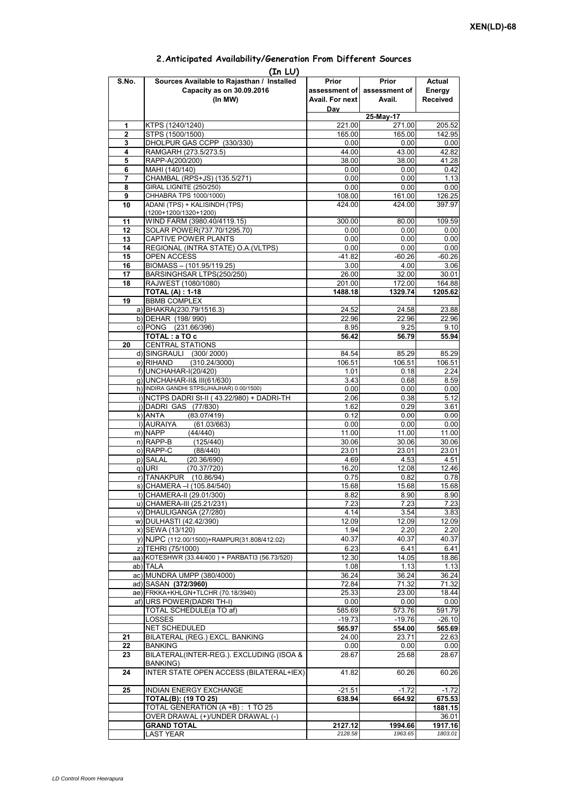## **Prior assessment of Avail. For next Day Prior assessment of Avail. Actual Energy Received 1** KTPS (1240/1240) 221.00 271.00 205.52 **2** STPS (1500/1500) 165.00 165.00 142.95 **3** DHOLPUR GAS CCPP (330/330) 4 RAMGARH (273.5/273.5) 44.00 43.00 42.82<br> **5** RAPP-A(200/200) 41.28 **5** RAPP-A(200/200) **38.00** 38.00 **6** MAHI (140/140) **38.00 6** MAHI (140/140) 0.00 0.00 0.42 **7** CHAMBAL (RPS+JS) (135.5/271) 0.00 0.00 0.00 1.13 **8** GIRAL LIGNITE (250/250) **0.00** 0.00 0.00 0.00 0.00<br>**9** CHHABRA TPS 1000/1000) 0.00 108.00 161.00 126.25 **9** CHHABRA TPS 1000/1000) **10** ADANI (TPS) + KALISINDH (TPS) (1200+1200/1320+1200) 424.00 424.00 397.97 11 | WIND FARM (3980.40/4119.15)  $\qquad \qquad$  300.00 80.00 109.59 12 SOLAR POWER(737.70/1295.70) 0.00 0.00 0.00 0.00 **13** CAPTIVE POWER PLANTS 0.00 0.00 0.00 0.00 **14** REGIONAL (INTRA STATE) O.A.(VLTPS) 0.00 0.00 0.00 0.00 0.00 15 OPEN ACCESS -41.82 -60.26 -60.26<br>16 BIOMASS – (101.95/119.25) -60.26 -60.26 -60.26 -60.26 **BIOMASS – (101.95/119.25)** 17 BARSINGHSAR LTPS(250/250) 26.00 32.00 30.01 **18** RAJWEST (1080/1080) 201.00 172.00 164.88 **TOTAL (A) : 1-18 1488.18** 1488.18 1329.74 **19** BBMB COMPLEX a) BHAKRA(230.79/1516.3) 24.52 24.52 24.58 23.88<br>b) DEHAR (198/990) 22.96 22.96 22.96 b) DEHAR (198/ 990) c) PONG (231.66/396) 8.95 8.95 9.25 9.10 **TOTAL : a TO c** 56.42 56.79 55.94 **20** CENTRAL STATIONS d) SINGRAULI (300/2000) 84.54 85.29 85.29<br>e) RIHAND (310.24/3000) 106.51 106.51 106.51  $(310.24/3000)$ f) UNCHAHAR-I(20/420) 1.01 0.18 2.24 g) UNCHAHAR-II& III(61/630) 3.43 0.68 8.59 h) INDIRA GANDHI STPS(JHAJHAR) 0.00/1500) 0.00 0.00 0.00 0.00 0.00 0.00 i) NCTPS DADRI St-II ( 43.22/980) + DADRI-TH 2.06 0.38 5.12 j)|DADRI GAS (77/830) 1.62 0.29 3.61<br>k)|ANTA (83.07/419) 0.12 0.00 0.00 k)|ANTA (83.07/419) 0.12 0.00 0.00<br>|i)|AURAIYA (61.03/663) 0.00 0.00 0.00 **(In LU) S.No. Sources Available to Rajasthan / Installed Capacity as on 30.09.2016 (In MW) 25-May-17** ANTA (83.07/419)0.120.000.00l) AURAIYA (61.03/663) 0.00 0.00 0.00 m) NAPP (44/440) 11.00 11.00 11.00 n) RAPP-B (125/440) 30.06 30.06 30.06 30.06 o) RAPP-C (88/440) 23.01 23.01 23.01 p) SALAL (20.36/690) 4.69 4.53 4.51 4.53 4.54<br>q) URI (70.37/720) 4.69 12.08 12.46 q) URI (70.37/720) 16.20 12.08 12.46 r) TANAKPUR (10.86/94) 0.75 0.82 0.78  $\overline{s}$ ) CHAMERA –I (105.84/540) t) CHAMERA-II (29.01/300) 8.82 8.90 8.90 u) CHAMERA-III (25.21/231) 7.23 7.23 7.23 v) DHAULIGANGA (27/280) 4.14 3.54 3.83 w) DULHASTI (42.42/390) 12.09 12.09 12.09 12.09 x) SEWA (13/120) 1.94 2.20 2.20 y) NJPC (112.00/1500)+RAMPUR(31.808/412.02) z) TEHRI (75/1000) 6.23 6.41 6.41 aa) KOTESHWR (33.44/400) + PARBATI3 (56.73/520) ab) TALA 1.08 1.13 1.13 ac) MUNDRA UMPP (380/4000)  $\overline{36.24}$  36.24 36.24 36.24 ad) SASAN **(372/3960)** 72.84 71.32 71.32 ae) FRKKA+KHLGN+TLCHR (70.18/3940) af) URS POWER(DADRI TH-I) 0.00 0.00 0.00 TOTAL SCHEDULE(a TO af) 585.69 573.76 591.79 LOSSES -19.73 -19.76 -26.10 NET SCHEDULED **565.97 554.00 565.69 21** BILATERAL (REG.) EXCL. BANKING  $24.00$  23.71 22.63 **22** BANKING 0.00 0.00 0.00 **23** BILATERAL(INTER-REG.). EXCLUDING (ISOA & BANKING) 28.67 25.68 28.67 **24** INTER STATE OPEN ACCESS (BILATERAL+IEX) 41.82 60.26 60.26 **25** INDIAN ENERGY EXCHANGE -21.51 -2.72 -1.72 **TOTAL(B): (19 TO 25) 638.94 664.92 675.53** TOTAL GENERATION (A +B) : 1 TO 25 **1881.15**<br>
OVER DRAWAL (+)/UNDER DRAWAL (-) 36.01 OVER DRAWAL (+)/UNDER DRAWAL (-) **GRAND TOTAL**  2127.12 1994.66 1917.16 LAST YEAR *2128.58 1963.65 1803.01*

## **2.Anticipated Availability/Generation From Different Sources**